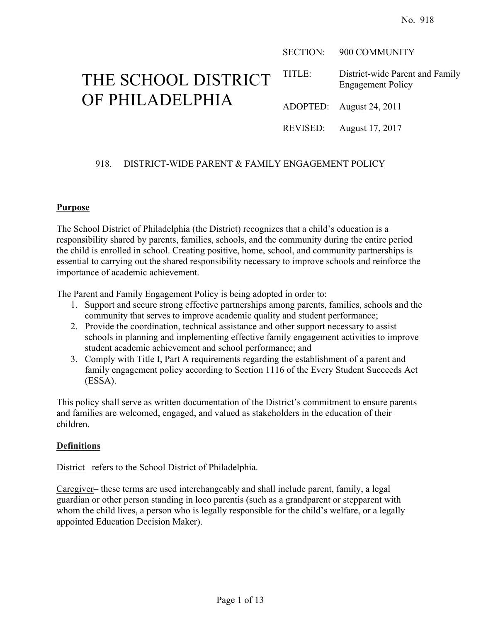SECTION: 900 COMMUNITY

# THE SCHOOL DISTRICT OF PHILADELPHIA

TITLE: District-wide Parent and Family Engagement Policy

ADOPTED: August 24, 2011

REVISED: August 17, 2017

# 918. DISTRICT-WIDE PARENT & FAMILY ENGAGEMENT POLICY

#### **Purpose**

The School District of Philadelphia (the District) recognizes that a child's education is a responsibility shared by parents, families, schools, and the community during the entire period the child is enrolled in school. Creating positive, home, school, and community partnerships is essential to carrying out the shared responsibility necessary to improve schools and reinforce the importance of academic achievement.

The Parent and Family Engagement Policy is being adopted in order to:

- 1. Support and secure strong effective partnerships among parents, families, schools and the community that serves to improve academic quality and student performance;
- 2. Provide the coordination, technical assistance and other support necessary to assist schools in planning and implementing effective family engagement activities to improve student academic achievement and school performance; and
- 3. Comply with Title I, Part A requirements regarding the establishment of a parent and family engagement policy according to Section 1116 of the Every Student Succeeds Act (ESSA).

This policy shall serve as written documentation of the District's commitment to ensure parents and families are welcomed, engaged, and valued as stakeholders in the education of their children.

#### **Definitions**

District– refers to the School District of Philadelphia.

Caregiver– these terms are used interchangeably and shall include parent, family, a legal guardian or other person standing in loco parentis (such as a grandparent or stepparent with whom the child lives, a person who is legally responsible for the child's welfare, or a legally appointed Education Decision Maker).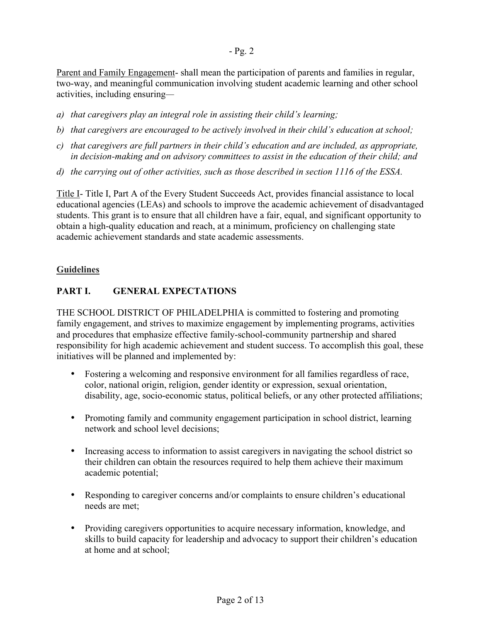Parent and Family Engagement- shall mean the participation of parents and families in regular, two-way, and meaningful communication involving student academic learning and other school activities, including ensuring*—*

- *a) that caregivers play an integral role in assisting their child's learning;*
- *b) that caregivers are encouraged to be actively involved in their child's education at school;*
- *c) that caregivers are full partners in their child's education and are included, as appropriate, in decision-making and on advisory committees to assist in the education of their child; and*
- *d) the carrying out of other activities, such as those described in section 1116 of the ESSA.*

Title I- Title I, Part A of the Every Student Succeeds Act, provides financial assistance to local educational agencies (LEAs) and schools to improve the academic achievement of disadvantaged students. This grant is to ensure that all children have a fair, equal, and significant opportunity to obtain a high-quality education and reach, at a minimum, proficiency on challenging state academic achievement standards and state academic assessments.

#### **Guidelines**

# **PART I. GENERAL EXPECTATIONS**

THE SCHOOL DISTRICT OF PHILADELPHIA is committed to fostering and promoting family engagement, and strives to maximize engagement by implementing programs, activities and procedures that emphasize effective family-school-community partnership and shared responsibility for high academic achievement and student success. To accomplish this goal, these initiatives will be planned and implemented by:

- Fostering a welcoming and responsive environment for all families regardless of race, color, national origin, religion, gender identity or expression, sexual orientation, disability, age, socio-economic status, political beliefs, or any other protected affiliations;
- Promoting family and community engagement participation in school district, learning network and school level decisions;
- Increasing access to information to assist caregivers in navigating the school district so their children can obtain the resources required to help them achieve their maximum academic potential;
- Responding to caregiver concerns and/or complaints to ensure children's educational needs are met;
- Providing caregivers opportunities to acquire necessary information, knowledge, and skills to build capacity for leadership and advocacy to support their children's education at home and at school;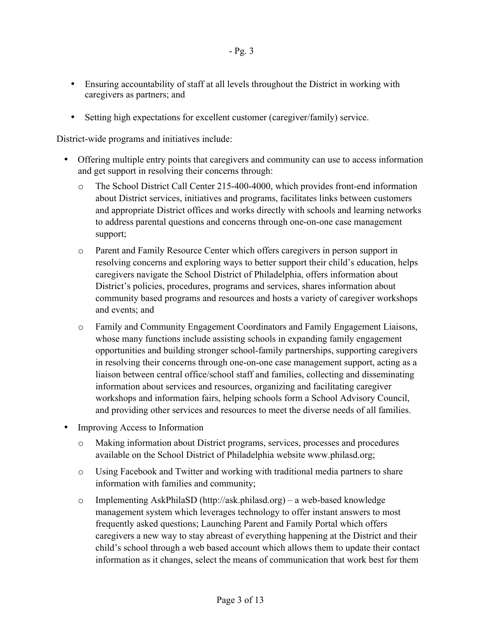- Ensuring accountability of staff at all levels throughout the District in working with caregivers as partners; and
- Setting high expectations for excellent customer (caregiver/family) service.

District-wide programs and initiatives include:

- Offering multiple entry points that caregivers and community can use to access information and get support in resolving their concerns through:
	- o The School District Call Center 215-400-4000, which provides front-end information about District services, initiatives and programs, facilitates links between customers and appropriate District offices and works directly with schools and learning networks to address parental questions and concerns through one-on-one case management support;
	- o Parent and Family Resource Center which offers caregivers in person support in resolving concerns and exploring ways to better support their child's education, helps caregivers navigate the School District of Philadelphia, offers information about District's policies, procedures, programs and services, shares information about community based programs and resources and hosts a variety of caregiver workshops and events; and
	- o Family and Community Engagement Coordinators and Family Engagement Liaisons, whose many functions include assisting schools in expanding family engagement opportunities and building stronger school-family partnerships, supporting caregivers in resolving their concerns through one-on-one case management support, acting as a liaison between central office/school staff and families, collecting and disseminating information about services and resources, organizing and facilitating caregiver workshops and information fairs, helping schools form a School Advisory Council, and providing other services and resources to meet the diverse needs of all families.
- Improving Access to Information
	- o Making information about District programs, services, processes and procedures available on the School District of Philadelphia website www.philasd.org;
	- o Using Facebook and Twitter and working with traditional media partners to share information with families and community;
	- o Implementing AskPhilaSD (http://ask.philasd.org) a web-based knowledge management system which leverages technology to offer instant answers to most frequently asked questions; Launching Parent and Family Portal which offers caregivers a new way to stay abreast of everything happening at the District and their child's school through a web based account which allows them to update their contact information as it changes, select the means of communication that work best for them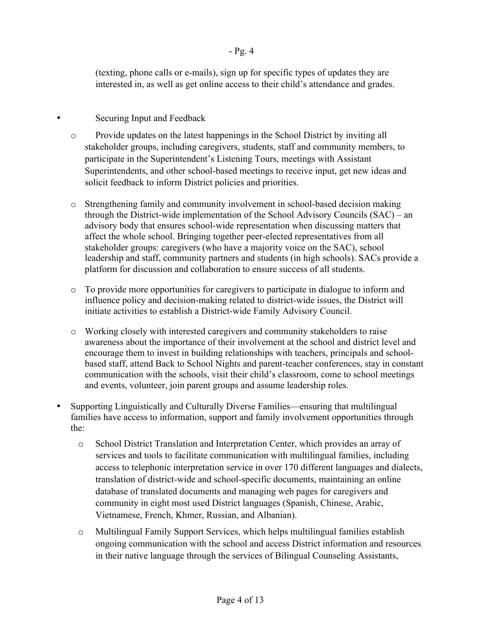(texting, phone calls or e-mails), sign up for specific types of updates they are interested in, as well as get online access to their child's attendance and grades.

# Securing Input and Feedback

- o Provide updates on the latest happenings in the School District by inviting all stakeholder groups, including caregivers, students, staff and community members, to participate in the Superintendent's Listening Tours, meetings with Assistant Superintendents, and other school-based meetings to receive input, get new ideas and solicit feedback to inform District policies and priorities.
- o Strengthening family and community involvement in school-based decision making through the District-wide implementation of the School Advisory Councils (SAC) – an advisory body that ensures school-wide representation when discussing matters that affect the whole school. Bringing together peer-elected representatives from all stakeholder groups: caregivers (who have a majority voice on the SAC), school leadership and staff, community partners and students (in high schools). SACs provide a platform for discussion and collaboration to ensure success of all students.
- o To provide more opportunities for caregivers to participate in dialogue to inform and influence policy and decision-making related to district-wide issues, the District will initiate activities to establish a District-wide Family Advisory Council.
- o Working closely with interested caregivers and community stakeholders to raise awareness about the importance of their involvement at the school and district level and encourage them to invest in building relationships with teachers, principals and schoolbased staff, attend Back to School Nights and parent-teacher conferences, stay in constant communication with the schools, visit their child's classroom, come to school meetings and events, volunteer, join parent groups and assume leadership roles.
- Supporting Linguistically and Culturally Diverse Families—ensuring that multilingual families have access to information, support and family involvement opportunities through the:
	- o School District Translation and Interpretation Center, which provides an array of services and tools to facilitate communication with multilingual families, including access to telephonic interpretation service in over 170 different languages and dialects, translation of district-wide and school-specific documents, maintaining an online database of translated documents and managing web pages for caregivers and community in eight most used District languages (Spanish, Chinese, Arabic, Vietnamese, French, Khmer, Russian, and Albanian).
	- o Multilingual Family Support Services, which helps multilingual families establish ongoing communication with the school and access District information and resources in their native language through the services of Bilingual Counseling Assistants,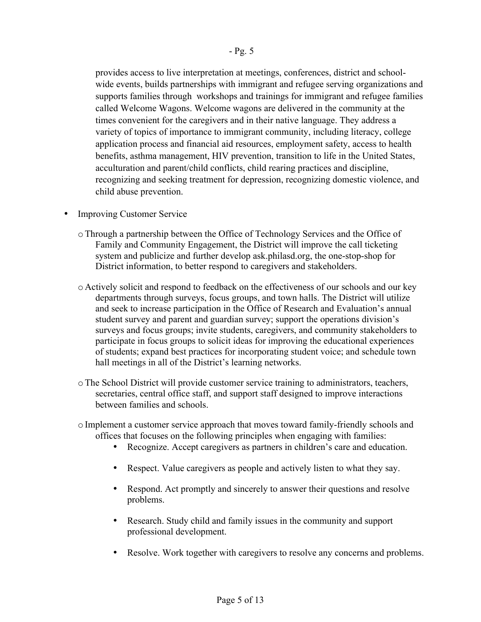provides access to live interpretation at meetings, conferences, district and schoolwide events, builds partnerships with immigrant and refugee serving organizations and supports families through workshops and trainings for immigrant and refugee families called Welcome Wagons. Welcome wagons are delivered in the community at the times convenient for the caregivers and in their native language. They address a variety of topics of importance to immigrant community, including literacy, college application process and financial aid resources, employment safety, access to health benefits, asthma management, HIV prevention, transition to life in the United States, acculturation and parent/child conflicts, child rearing practices and discipline, recognizing and seeking treatment for depression, recognizing domestic violence, and child abuse prevention.

- **Improving Customer Service** 
	- oThrough a partnership between the Office of Technology Services and the Office of Family and Community Engagement, the District will improve the call ticketing system and publicize and further develop ask.philasd.org, the one-stop-shop for District information, to better respond to caregivers and stakeholders.
	- o Actively solicit and respond to feedback on the effectiveness of our schools and our key departments through surveys, focus groups, and town halls. The District will utilize and seek to increase participation in the Office of Research and Evaluation's annual student survey and parent and guardian survey; support the operations division's surveys and focus groups; invite students, caregivers, and community stakeholders to participate in focus groups to solicit ideas for improving the educational experiences of students; expand best practices for incorporating student voice; and schedule town hall meetings in all of the District's learning networks.
	- oThe School District will provide customer service training to administrators, teachers, secretaries, central office staff, and support staff designed to improve interactions between families and schools.
	- o Implement a customer service approach that moves toward family-friendly schools and offices that focuses on the following principles when engaging with families:
		- Recognize. Accept caregivers as partners in children's care and education.
		- Respect. Value caregivers as people and actively listen to what they say.
		- Respond. Act promptly and sincerely to answer their questions and resolve problems.
		- Research. Study child and family issues in the community and support professional development.
		- Resolve. Work together with caregivers to resolve any concerns and problems.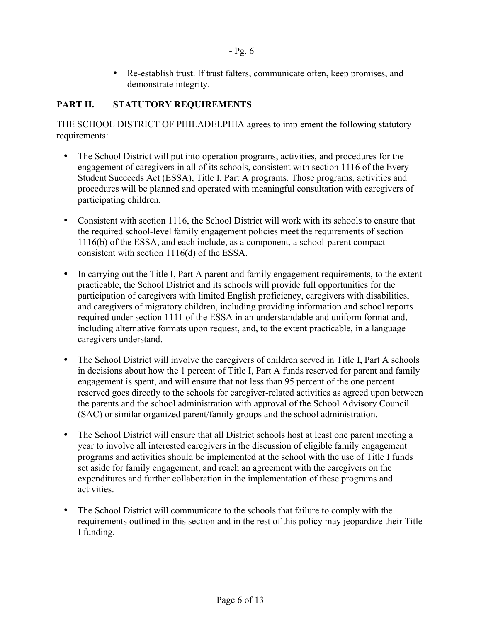• Re-establish trust. If trust falters, communicate often, keep promises, and demonstrate integrity.

# **PART II. STATUTORY REQUIREMENTS**

THE SCHOOL DISTRICT OF PHILADELPHIA agrees to implement the following statutory requirements:

- The School District will put into operation programs, activities, and procedures for the engagement of caregivers in all of its schools, consistent with section 1116 of the Every Student Succeeds Act (ESSA), Title I, Part A programs. Those programs, activities and procedures will be planned and operated with meaningful consultation with caregivers of participating children.
- Consistent with section 1116, the School District will work with its schools to ensure that the required school-level family engagement policies meet the requirements of section 1116(b) of the ESSA, and each include, as a component, a school-parent compact consistent with section 1116(d) of the ESSA.
- In carrying out the Title I, Part A parent and family engagement requirements, to the extent practicable, the School District and its schools will provide full opportunities for the participation of caregivers with limited English proficiency, caregivers with disabilities, and caregivers of migratory children, including providing information and school reports required under section 1111 of the ESSA in an understandable and uniform format and, including alternative formats upon request, and, to the extent practicable, in a language caregivers understand.
- The School District will involve the caregivers of children served in Title I, Part A schools in decisions about how the 1 percent of Title I, Part A funds reserved for parent and family engagement is spent, and will ensure that not less than 95 percent of the one percent reserved goes directly to the schools for caregiver-related activities as agreed upon between the parents and the school administration with approval of the School Advisory Council (SAC) or similar organized parent/family groups and the school administration.
- The School District will ensure that all District schools host at least one parent meeting a year to involve all interested caregivers in the discussion of eligible family engagement programs and activities should be implemented at the school with the use of Title I funds set aside for family engagement, and reach an agreement with the caregivers on the expenditures and further collaboration in the implementation of these programs and activities.
- The School District will communicate to the schools that failure to comply with the requirements outlined in this section and in the rest of this policy may jeopardize their Title I funding.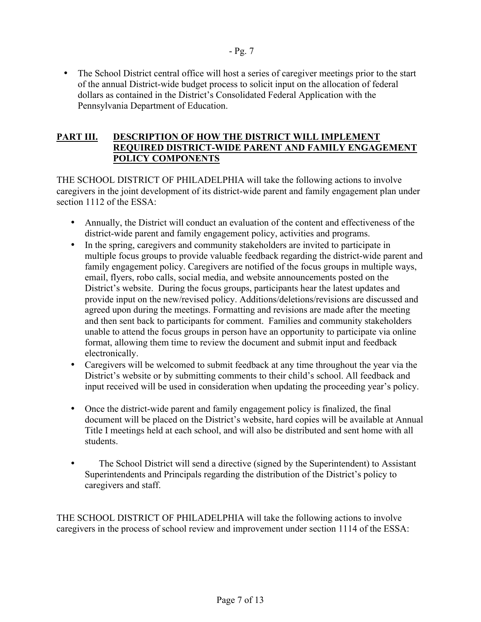• The School District central office will host a series of caregiver meetings prior to the start of the annual District-wide budget process to solicit input on the allocation of federal dollars as contained in the District's Consolidated Federal Application with the Pennsylvania Department of Education.

- Pg. 7

# **PART III. DESCRIPTION OF HOW THE DISTRICT WILL IMPLEMENT REQUIRED DISTRICT-WIDE PARENT AND FAMILY ENGAGEMENT POLICY COMPONENTS**

THE SCHOOL DISTRICT OF PHILADELPHIA will take the following actions to involve caregivers in the joint development of its district-wide parent and family engagement plan under section 1112 of the ESSA:

- Annually, the District will conduct an evaluation of the content and effectiveness of the district-wide parent and family engagement policy, activities and programs.
- In the spring, caregivers and community stakeholders are invited to participate in multiple focus groups to provide valuable feedback regarding the district-wide parent and family engagement policy. Caregivers are notified of the focus groups in multiple ways, email, flyers, robo calls, social media, and website announcements posted on the District's website. During the focus groups, participants hear the latest updates and provide input on the new/revised policy. Additions/deletions/revisions are discussed and agreed upon during the meetings. Formatting and revisions are made after the meeting and then sent back to participants for comment. Families and community stakeholders unable to attend the focus groups in person have an opportunity to participate via online format, allowing them time to review the document and submit input and feedback electronically.
- Caregivers will be welcomed to submit feedback at any time throughout the year via the District's website or by submitting comments to their child's school. All feedback and input received will be used in consideration when updating the proceeding year's policy.
- Once the district-wide parent and family engagement policy is finalized, the final document will be placed on the District's website, hard copies will be available at Annual Title I meetings held at each school, and will also be distributed and sent home with all students.
- The School District will send a directive (signed by the Superintendent) to Assistant Superintendents and Principals regarding the distribution of the District's policy to caregivers and staff.

THE SCHOOL DISTRICT OF PHILADELPHIA will take the following actions to involve caregivers in the process of school review and improvement under section 1114 of the ESSA: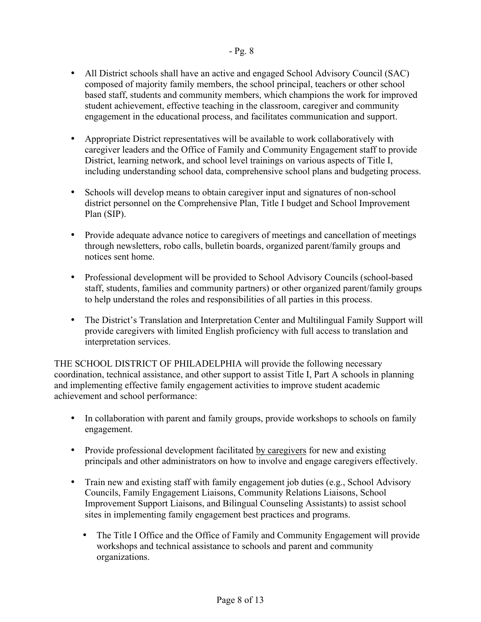- All District schools shall have an active and engaged School Advisory Council (SAC) composed of majority family members, the school principal, teachers or other school based staff, students and community members, which champions the work for improved student achievement, effective teaching in the classroom, caregiver and community engagement in the educational process, and facilitates communication and support.
- Appropriate District representatives will be available to work collaboratively with caregiver leaders and the Office of Family and Community Engagement staff to provide District, learning network, and school level trainings on various aspects of Title I, including understanding school data, comprehensive school plans and budgeting process.
- Schools will develop means to obtain caregiver input and signatures of non-school district personnel on the Comprehensive Plan, Title I budget and School Improvement Plan (SIP).
- Provide adequate advance notice to caregivers of meetings and cancellation of meetings through newsletters, robo calls, bulletin boards, organized parent/family groups and notices sent home.
- Professional development will be provided to School Advisory Councils (school-based staff, students, families and community partners) or other organized parent/family groups to help understand the roles and responsibilities of all parties in this process.
- The District's Translation and Interpretation Center and Multilingual Family Support will provide caregivers with limited English proficiency with full access to translation and interpretation services.

THE SCHOOL DISTRICT OF PHILADELPHIA will provide the following necessary coordination, technical assistance, and other support to assist Title I, Part A schools in planning and implementing effective family engagement activities to improve student academic achievement and school performance:

- In collaboration with parent and family groups, provide workshops to schools on family engagement.
- Provide professional development facilitated by caregivers for new and existing principals and other administrators on how to involve and engage caregivers effectively.
- Train new and existing staff with family engagement job duties (e.g., School Advisory Councils, Family Engagement Liaisons, Community Relations Liaisons, School Improvement Support Liaisons, and Bilingual Counseling Assistants) to assist school sites in implementing family engagement best practices and programs.
	- The Title I Office and the Office of Family and Community Engagement will provide workshops and technical assistance to schools and parent and community organizations.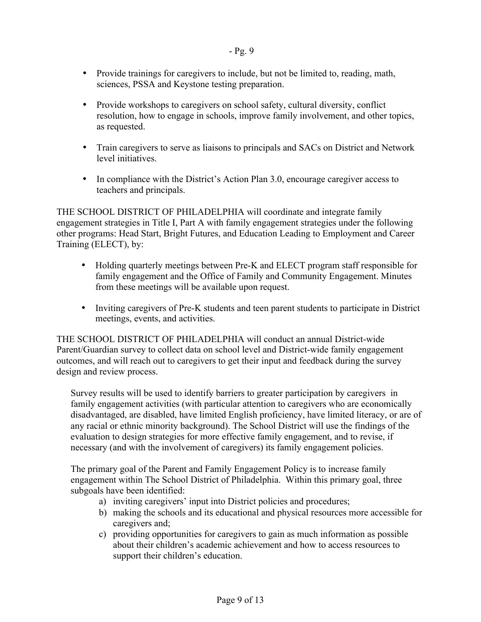- Provide trainings for caregivers to include, but not be limited to, reading, math, sciences, PSSA and Keystone testing preparation.
- Provide workshops to caregivers on school safety, cultural diversity, conflict resolution, how to engage in schools, improve family involvement, and other topics, as requested.
- Train caregivers to serve as liaisons to principals and SACs on District and Network level initiatives.
- In compliance with the District's Action Plan 3.0, encourage caregiver access to teachers and principals.

THE SCHOOL DISTRICT OF PHILADELPHIA will coordinate and integrate family engagement strategies in Title I, Part A with family engagement strategies under the following other programs: Head Start, Bright Futures, and Education Leading to Employment and Career Training (ELECT), by:

- Holding quarterly meetings between Pre-K and ELECT program staff responsible for family engagement and the Office of Family and Community Engagement. Minutes from these meetings will be available upon request.
- Inviting caregivers of Pre-K students and teen parent students to participate in District meetings, events, and activities.

THE SCHOOL DISTRICT OF PHILADELPHIA will conduct an annual District-wide Parent/Guardian survey to collect data on school level and District-wide family engagement outcomes, and will reach out to caregivers to get their input and feedback during the survey design and review process.

Survey results will be used to identify barriers to greater participation by caregivers in family engagement activities (with particular attention to caregivers who are economically disadvantaged, are disabled, have limited English proficiency, have limited literacy, or are of any racial or ethnic minority background). The School District will use the findings of the evaluation to design strategies for more effective family engagement, and to revise, if necessary (and with the involvement of caregivers) its family engagement policies.

The primary goal of the Parent and Family Engagement Policy is to increase family engagement within The School District of Philadelphia. Within this primary goal, three subgoals have been identified:

- a) inviting caregivers' input into District policies and procedures;
- b) making the schools and its educational and physical resources more accessible for caregivers and;
- c) providing opportunities for caregivers to gain as much information as possible about their children's academic achievement and how to access resources to support their children's education.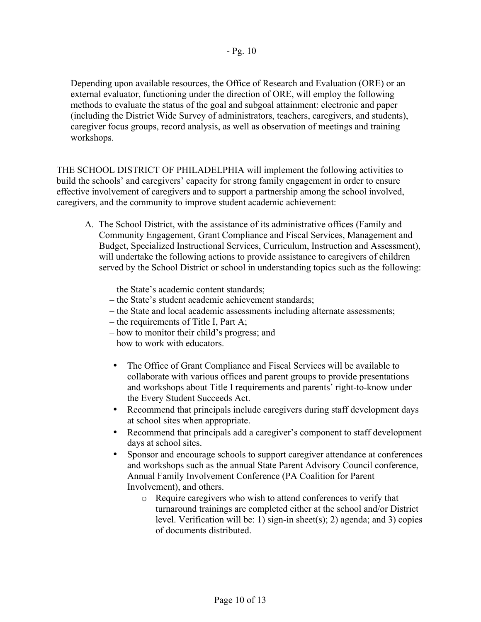Depending upon available resources, the Office of Research and Evaluation (ORE) or an external evaluator, functioning under the direction of ORE, will employ the following methods to evaluate the status of the goal and subgoal attainment: electronic and paper (including the District Wide Survey of administrators, teachers, caregivers, and students), caregiver focus groups, record analysis, as well as observation of meetings and training workshops.

THE SCHOOL DISTRICT OF PHILADELPHIA will implement the following activities to build the schools' and caregivers' capacity for strong family engagement in order to ensure effective involvement of caregivers and to support a partnership among the school involved, caregivers, and the community to improve student academic achievement:

- A. The School District, with the assistance of its administrative offices (Family and Community Engagement, Grant Compliance and Fiscal Services, Management and Budget, Specialized Instructional Services, Curriculum, Instruction and Assessment), will undertake the following actions to provide assistance to caregivers of children served by the School District or school in understanding topics such as the following:
	- the State's academic content standards;
	- the State's student academic achievement standards;
	- the State and local academic assessments including alternate assessments;
	- the requirements of Title I, Part A;
	- how to monitor their child's progress; and
	- how to work with educators.
	- The Office of Grant Compliance and Fiscal Services will be available to collaborate with various offices and parent groups to provide presentations and workshops about Title I requirements and parents' right-to-know under the Every Student Succeeds Act.
	- Recommend that principals include caregivers during staff development days at school sites when appropriate.
	- Recommend that principals add a caregiver's component to staff development days at school sites.
	- Sponsor and encourage schools to support caregiver attendance at conferences and workshops such as the annual State Parent Advisory Council conference, Annual Family Involvement Conference (PA Coalition for Parent Involvement), and others.
		- o Require caregivers who wish to attend conferences to verify that turnaround trainings are completed either at the school and/or District level. Verification will be: 1) sign-in sheet(s); 2) agenda; and 3) copies of documents distributed.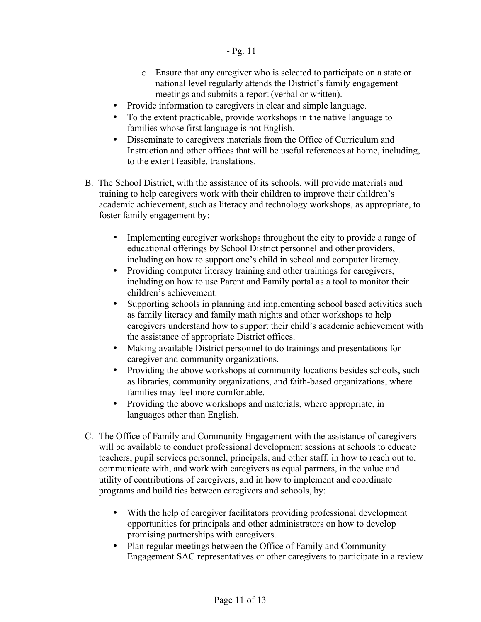- o Ensure that any caregiver who is selected to participate on a state or national level regularly attends the District's family engagement meetings and submits a report (verbal or written).
- Provide information to caregivers in clear and simple language.
- To the extent practicable, provide workshops in the native language to families whose first language is not English.
- Disseminate to caregivers materials from the Office of Curriculum and Instruction and other offices that will be useful references at home, including, to the extent feasible, translations.
- B. The School District, with the assistance of its schools, will provide materials and training to help caregivers work with their children to improve their children's academic achievement, such as literacy and technology workshops, as appropriate, to foster family engagement by:
	- Implementing caregiver workshops throughout the city to provide a range of educational offerings by School District personnel and other providers, including on how to support one's child in school and computer literacy.
	- Providing computer literacy training and other trainings for caregivers, including on how to use Parent and Family portal as a tool to monitor their children's achievement.
	- Supporting schools in planning and implementing school based activities such as family literacy and family math nights and other workshops to help caregivers understand how to support their child's academic achievement with the assistance of appropriate District offices.
	- Making available District personnel to do trainings and presentations for caregiver and community organizations.
	- Providing the above workshops at community locations besides schools, such as libraries, community organizations, and faith-based organizations, where families may feel more comfortable.
	- Providing the above workshops and materials, where appropriate, in languages other than English.
- C. The Office of Family and Community Engagement with the assistance of caregivers will be available to conduct professional development sessions at schools to educate teachers, pupil services personnel, principals, and other staff, in how to reach out to, communicate with, and work with caregivers as equal partners, in the value and utility of contributions of caregivers, and in how to implement and coordinate programs and build ties between caregivers and schools, by:
	- With the help of caregiver facilitators providing professional development opportunities for principals and other administrators on how to develop promising partnerships with caregivers.
	- Plan regular meetings between the Office of Family and Community Engagement SAC representatives or other caregivers to participate in a review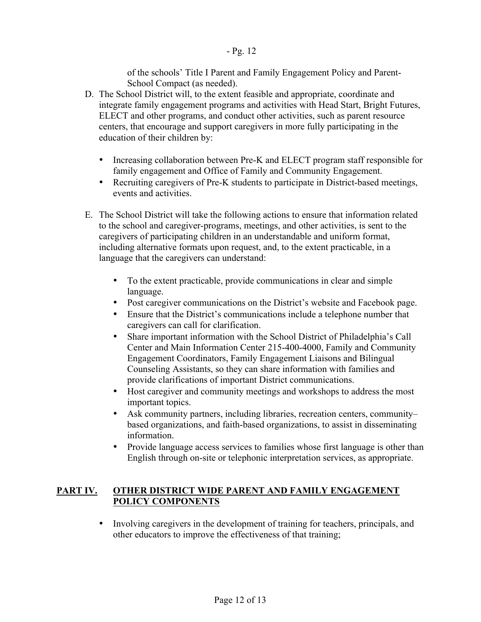of the schools' Title I Parent and Family Engagement Policy and Parent-School Compact (as needed).

- D. The School District will, to the extent feasible and appropriate, coordinate and integrate family engagement programs and activities with Head Start, Bright Futures, ELECT and other programs, and conduct other activities, such as parent resource centers, that encourage and support caregivers in more fully participating in the education of their children by:
	- Increasing collaboration between Pre-K and ELECT program staff responsible for family engagement and Office of Family and Community Engagement.
	- Recruiting caregivers of Pre-K students to participate in District-based meetings, events and activities.
- E. The School District will take the following actions to ensure that information related to the school and caregiver-programs, meetings, and other activities, is sent to the caregivers of participating children in an understandable and uniform format, including alternative formats upon request, and, to the extent practicable, in a language that the caregivers can understand:
	- To the extent practicable, provide communications in clear and simple language.
	- Post caregiver communications on the District's website and Facebook page.
	- Ensure that the District's communications include a telephone number that caregivers can call for clarification.
	- Share important information with the School District of Philadelphia's Call Center and Main Information Center 215-400-4000, Family and Community Engagement Coordinators, Family Engagement Liaisons and Bilingual Counseling Assistants, so they can share information with families and provide clarifications of important District communications.
	- Host caregiver and community meetings and workshops to address the most important topics.
	- Ask community partners, including libraries, recreation centers, community– based organizations, and faith-based organizations, to assist in disseminating information.
	- Provide language access services to families whose first language is other than English through on-site or telephonic interpretation services, as appropriate.

# **PART IV. OTHER DISTRICT WIDE PARENT AND FAMILY ENGAGEMENT POLICY COMPONENTS**

• Involving caregivers in the development of training for teachers, principals, and other educators to improve the effectiveness of that training;